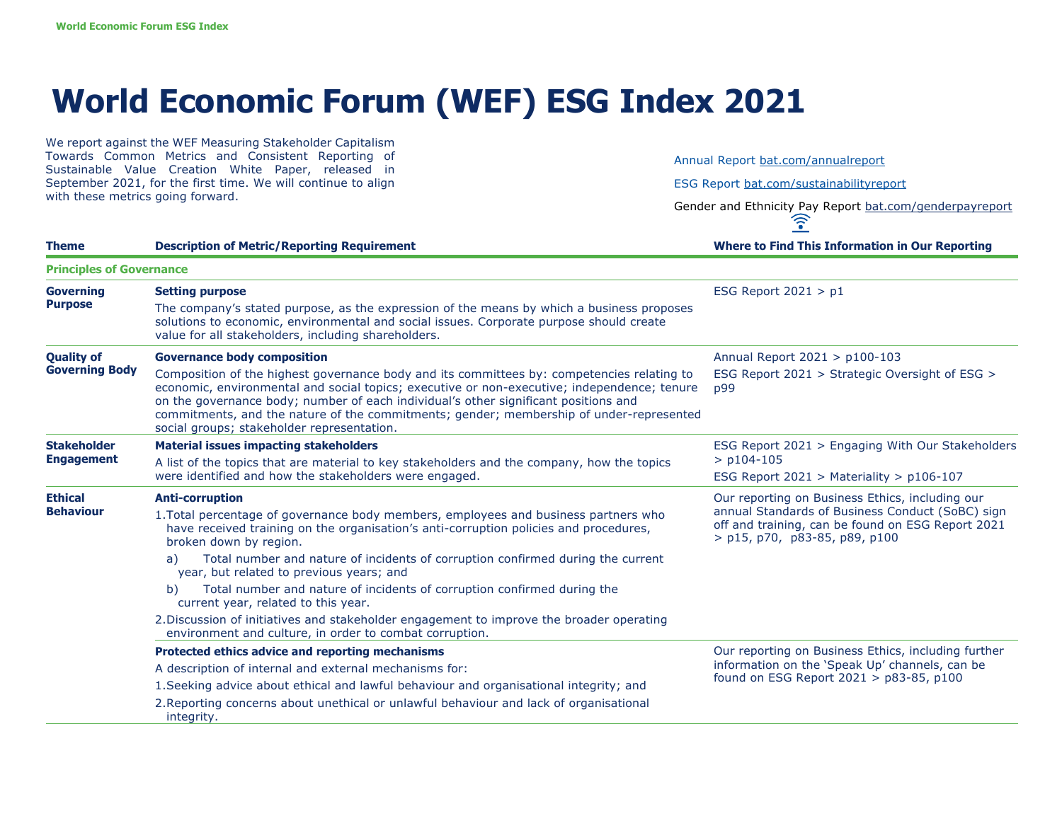## **World Economic Forum (WEF) ESG Index 2021**

We report against the WEF Measuring Stakeholder Capitalism Towards Common Metrics and Consistent Reporting of Sustainable Value Creation White Paper, released in September 2021, for the first time. We will continue to align with these metrics going forward.

Annual Report bat.com/annualreport

ESG Report bat.com/sustainabilityreport

Gender and Ethnicity Pay Report bat.com/genderpayreport<br>  $\widehat{\mathcal{C}}$ 

| <b>Theme</b>                               | <b>Description of Metric/Reporting Requirement</b>                                                                                                                                                                                                                                                                                                                                                                                                                                                                                                                                        | <b>Where to Find This Information in Our Reporting</b>                                                                                                                                      |
|--------------------------------------------|-------------------------------------------------------------------------------------------------------------------------------------------------------------------------------------------------------------------------------------------------------------------------------------------------------------------------------------------------------------------------------------------------------------------------------------------------------------------------------------------------------------------------------------------------------------------------------------------|---------------------------------------------------------------------------------------------------------------------------------------------------------------------------------------------|
| <b>Principles of Governance</b>            |                                                                                                                                                                                                                                                                                                                                                                                                                                                                                                                                                                                           |                                                                                                                                                                                             |
| <b>Governing</b><br><b>Purpose</b>         | <b>Setting purpose</b><br>The company's stated purpose, as the expression of the means by which a business proposes<br>solutions to economic, environmental and social issues. Corporate purpose should create<br>value for all stakeholders, including shareholders.                                                                                                                                                                                                                                                                                                                     | ESG Report $2021 > p1$                                                                                                                                                                      |
| <b>Quality of</b><br><b>Governing Body</b> | <b>Governance body composition</b>                                                                                                                                                                                                                                                                                                                                                                                                                                                                                                                                                        | Annual Report 2021 > p100-103                                                                                                                                                               |
|                                            | Composition of the highest governance body and its committees by: competencies relating to<br>economic, environmental and social topics; executive or non-executive; independence; tenure<br>on the governance body; number of each individual's other significant positions and<br>commitments, and the nature of the commitments; gender; membership of under-represented<br>social groups; stakeholder representation.                                                                                                                                                                 | ESG Report 2021 > Strategic Oversight of ESG ><br>p99                                                                                                                                       |
| <b>Stakeholder</b><br><b>Engagement</b>    | <b>Material issues impacting stakeholders</b>                                                                                                                                                                                                                                                                                                                                                                                                                                                                                                                                             | ESG Report 2021 > Engaging With Our Stakeholders<br>$>$ p104-105<br>ESG Report 2021 > Materiality > $p106-107$                                                                              |
|                                            | A list of the topics that are material to key stakeholders and the company, how the topics<br>were identified and how the stakeholders were engaged.                                                                                                                                                                                                                                                                                                                                                                                                                                      |                                                                                                                                                                                             |
| <b>Ethical</b><br><b>Behaviour</b>         | <b>Anti-corruption</b><br>1. Total percentage of governance body members, employees and business partners who<br>have received training on the organisation's anti-corruption policies and procedures,<br>broken down by region.<br>Total number and nature of incidents of corruption confirmed during the current<br>a)<br>year, but related to previous years; and<br>Total number and nature of incidents of corruption confirmed during the<br>b)<br>current year, related to this year.<br>2. Discussion of initiatives and stakeholder engagement to improve the broader operating | Our reporting on Business Ethics, including our<br>annual Standards of Business Conduct (SoBC) sign<br>off and training, can be found on ESG Report 2021<br>$>$ p15, p70, p83-85, p89, p100 |
|                                            | environment and culture, in order to combat corruption.                                                                                                                                                                                                                                                                                                                                                                                                                                                                                                                                   |                                                                                                                                                                                             |
|                                            | Protected ethics advice and reporting mechanisms                                                                                                                                                                                                                                                                                                                                                                                                                                                                                                                                          | Our reporting on Business Ethics, including further<br>information on the 'Speak Up' channels, can be<br>found on ESG Report 2021 > p83-85, p100                                            |
|                                            | A description of internal and external mechanisms for:                                                                                                                                                                                                                                                                                                                                                                                                                                                                                                                                    |                                                                                                                                                                                             |
|                                            | 1. Seeking advice about ethical and lawful behaviour and organisational integrity; and                                                                                                                                                                                                                                                                                                                                                                                                                                                                                                    |                                                                                                                                                                                             |
|                                            | 2. Reporting concerns about unethical or unlawful behaviour and lack of organisational<br>integrity.                                                                                                                                                                                                                                                                                                                                                                                                                                                                                      |                                                                                                                                                                                             |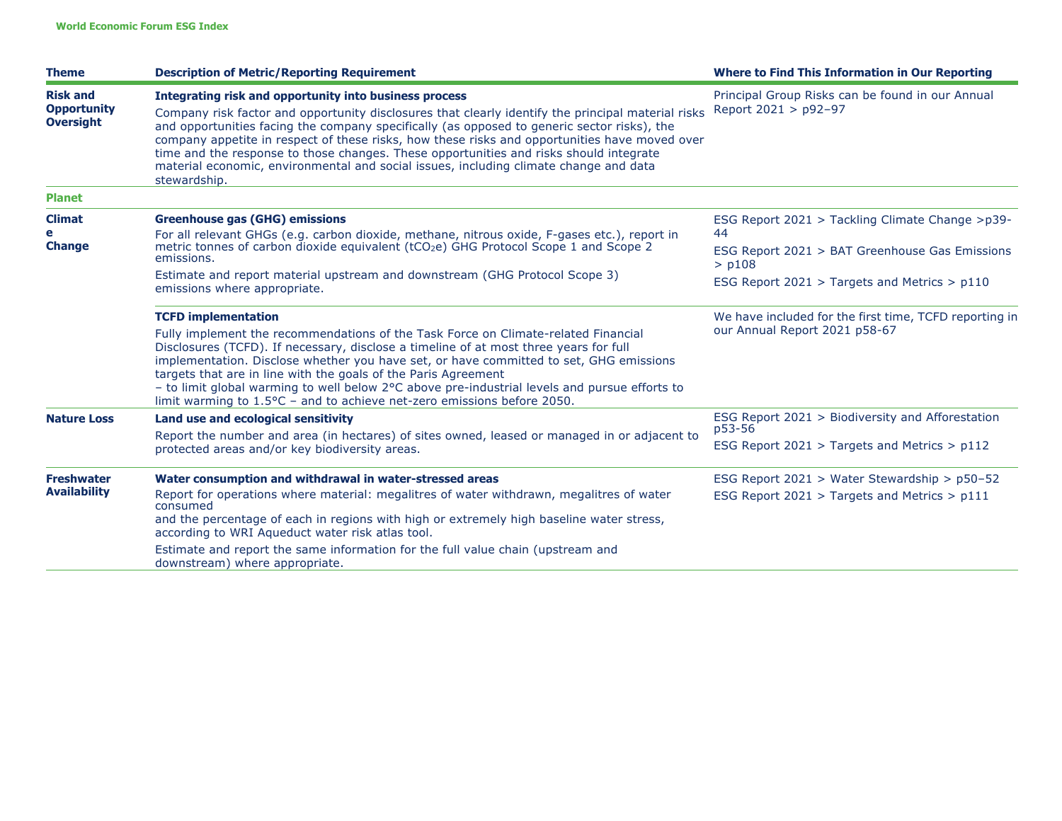| <b>Description of Metric/Reporting Requirement</b>                                                                                                                                                                                                                                                                                                                                                                                                                                                                                                              | <b>Where to Find This Information in Our Reporting</b>                                                                                                                                                                                                   |
|-----------------------------------------------------------------------------------------------------------------------------------------------------------------------------------------------------------------------------------------------------------------------------------------------------------------------------------------------------------------------------------------------------------------------------------------------------------------------------------------------------------------------------------------------------------------|----------------------------------------------------------------------------------------------------------------------------------------------------------------------------------------------------------------------------------------------------------|
| Integrating risk and opportunity into business process<br>Company risk factor and opportunity disclosures that clearly identify the principal material risks<br>and opportunities facing the company specifically (as opposed to generic sector risks), the<br>company appetite in respect of these risks, how these risks and opportunities have moved over<br>time and the response to those changes. These opportunities and risks should integrate<br>material economic, environmental and social issues, including climate change and data<br>stewardship. | Principal Group Risks can be found in our Annual<br>Report 2021 > p92-97                                                                                                                                                                                 |
|                                                                                                                                                                                                                                                                                                                                                                                                                                                                                                                                                                 |                                                                                                                                                                                                                                                          |
| <b>Greenhouse gas (GHG) emissions</b><br>For all relevant GHGs (e.g. carbon dioxide, methane, nitrous oxide, F-gases etc.), report in<br>metric tonnes of carbon dioxide equivalent (tCO <sub>2</sub> e) GHG Protocol Scope 1 and Scope 2<br>emissions.<br>Estimate and report material upstream and downstream (GHG Protocol Scope 3)<br>emissions where appropriate.                                                                                                                                                                                          | ESG Report 2021 > Tackling Climate Change >p39-<br>44<br>ESG Report 2021 > BAT Greenhouse Gas Emissions<br>$>$ $p108$<br>ESG Report $2021 >$ Targets and Metrics $> p110$                                                                                |
| <b>TCFD implementation</b><br>Fully implement the recommendations of the Task Force on Climate-related Financial<br>Disclosures (TCFD). If necessary, disclose a timeline of at most three years for full<br>implementation. Disclose whether you have set, or have committed to set, GHG emissions<br>targets that are in line with the goals of the Paris Agreement<br>- to limit global warming to well below 2°C above pre-industrial levels and pursue efforts to                                                                                          | We have included for the first time, TCFD reporting in<br>our Annual Report 2021 p58-67                                                                                                                                                                  |
| Land use and ecological sensitivity<br>Report the number and area (in hectares) of sites owned, leased or managed in or adjacent to                                                                                                                                                                                                                                                                                                                                                                                                                             | ESG Report 2021 > Biodiversity and Afforestation<br>p53-56<br>ESG Report $2021 >$ Targets and Metrics $> p112$                                                                                                                                           |
| Water consumption and withdrawal in water-stressed areas<br>Report for operations where material: megalitres of water withdrawn, megalitres of water<br>consumed<br>and the percentage of each in regions with high or extremely high baseline water stress,<br>according to WRI Aqueduct water risk atlas tool.                                                                                                                                                                                                                                                | ESG Report 2021 > Water Stewardship > p50-52<br>ESG Report 2021 > Targets and Metrics > p111                                                                                                                                                             |
|                                                                                                                                                                                                                                                                                                                                                                                                                                                                                                                                                                 | limit warming to $1.5^{\circ}$ C - and to achieve net-zero emissions before 2050.<br>protected areas and/or key biodiversity areas.<br>Estimate and report the same information for the full value chain (upstream and<br>downstream) where appropriate. |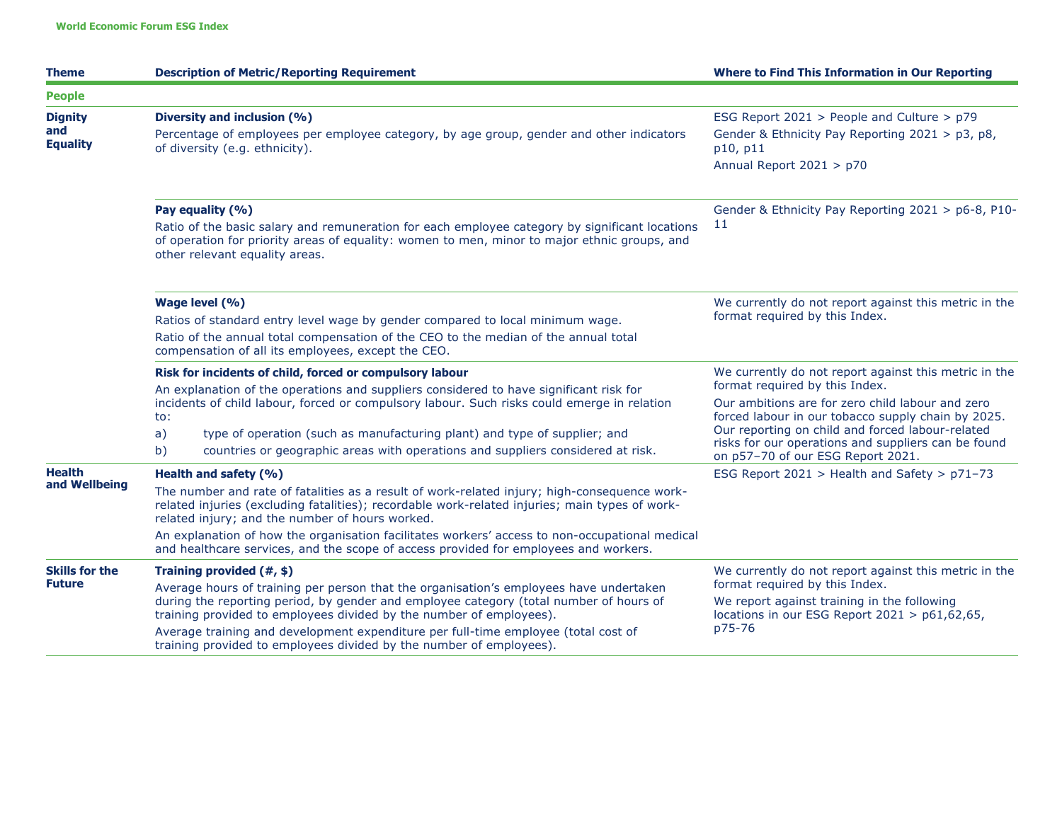| <b>Theme</b>                             | <b>Description of Metric/Reporting Requirement</b>                                                                                                                                                                                                                                                                                                                                                                                                                   | <b>Where to Find This Information in Our Reporting</b>                                                                                                                                                                                                                                                                                            |
|------------------------------------------|----------------------------------------------------------------------------------------------------------------------------------------------------------------------------------------------------------------------------------------------------------------------------------------------------------------------------------------------------------------------------------------------------------------------------------------------------------------------|---------------------------------------------------------------------------------------------------------------------------------------------------------------------------------------------------------------------------------------------------------------------------------------------------------------------------------------------------|
| <b>People</b>                            |                                                                                                                                                                                                                                                                                                                                                                                                                                                                      |                                                                                                                                                                                                                                                                                                                                                   |
| <b>Dignity</b><br>and<br><b>Equality</b> | Diversity and inclusion (%)<br>Percentage of employees per employee category, by age group, gender and other indicators<br>of diversity (e.g. ethnicity).                                                                                                                                                                                                                                                                                                            | ESG Report 2021 > People and Culture > p79<br>Gender & Ethnicity Pay Reporting 2021 > p3, p8,<br>p10, p11<br>Annual Report 2021 > p70                                                                                                                                                                                                             |
|                                          | Pay equality (%)<br>Ratio of the basic salary and remuneration for each employee category by significant locations<br>of operation for priority areas of equality: women to men, minor to major ethnic groups, and<br>other relevant equality areas.                                                                                                                                                                                                                 | Gender & Ethnicity Pay Reporting 2021 > p6-8, P10-<br>11                                                                                                                                                                                                                                                                                          |
|                                          | Wage level (%)<br>Ratios of standard entry level wage by gender compared to local minimum wage.<br>Ratio of the annual total compensation of the CEO to the median of the annual total<br>compensation of all its employees, except the CEO.                                                                                                                                                                                                                         | We currently do not report against this metric in the<br>format required by this Index.                                                                                                                                                                                                                                                           |
|                                          | Risk for incidents of child, forced or compulsory labour<br>An explanation of the operations and suppliers considered to have significant risk for<br>incidents of child labour, forced or compulsory labour. Such risks could emerge in relation<br>to:<br>a)<br>type of operation (such as manufacturing plant) and type of supplier; and<br>countries or geographic areas with operations and suppliers considered at risk.<br>b)                                 | We currently do not report against this metric in the<br>format required by this Index.<br>Our ambitions are for zero child labour and zero<br>forced labour in our tobacco supply chain by 2025.<br>Our reporting on child and forced labour-related<br>risks for our operations and suppliers can be found<br>on p57-70 of our ESG Report 2021. |
| <b>Health</b><br>and Wellbeing           | Health and safety (%)<br>The number and rate of fatalities as a result of work-related injury; high-consequence work-<br>related injuries (excluding fatalities); recordable work-related injuries; main types of work-<br>related injury; and the number of hours worked.<br>An explanation of how the organisation facilitates workers' access to non-occupational medical<br>and healthcare services, and the scope of access provided for employees and workers. | ESG Report 2021 > Health and Safety > p71-73                                                                                                                                                                                                                                                                                                      |
| <b>Skills for the</b><br><b>Future</b>   | Training provided $(\#,\$)$<br>Average hours of training per person that the organisation's employees have undertaken<br>during the reporting period, by gender and employee category (total number of hours of<br>training provided to employees divided by the number of employees).<br>Average training and development expenditure per full-time employee (total cost of<br>training provided to employees divided by the number of employees).                  | We currently do not report against this metric in the<br>format required by this Index.<br>We report against training in the following<br>locations in our ESG Report 2021 > p61,62,65,<br>p75-76                                                                                                                                                 |